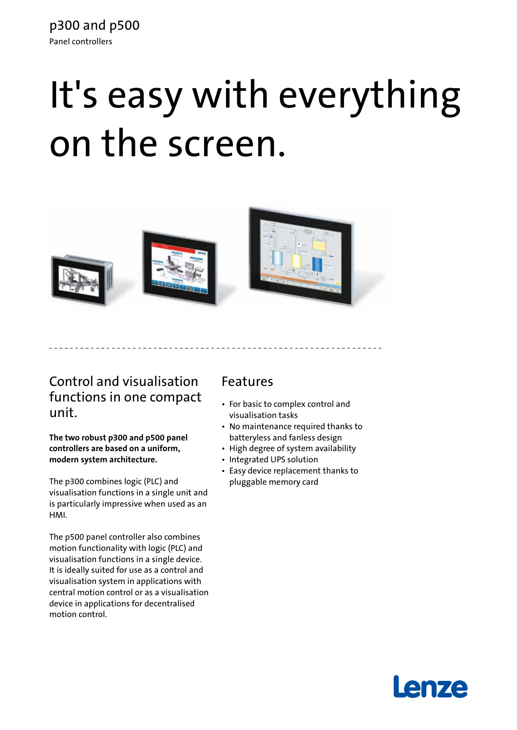# It's easy with everything on the screen.



## Control and visualisation functions in one compact unit.

**The two robust p300 and p500 panel controllers are based on a uniform, modern system architecture.**

The p300 combines logic (PLC) and visualisation functions in a single unit and is particularly impressive when used as an HMI.

The p500 panel controller also combines motion functionality with logic (PLC) and visualisation functions in a single device. It is ideally suited for use as a control and visualisation system in applications with central motion control or as a visualisation device in applications for decentralised motion control.

### Features

- For basic to complex control and visualisation tasks
- No maintenance required thanks to batteryless and fanless design
- High degree of system availability
- Integrated UPS solution
- Easy device replacement thanks to pluggable memory card